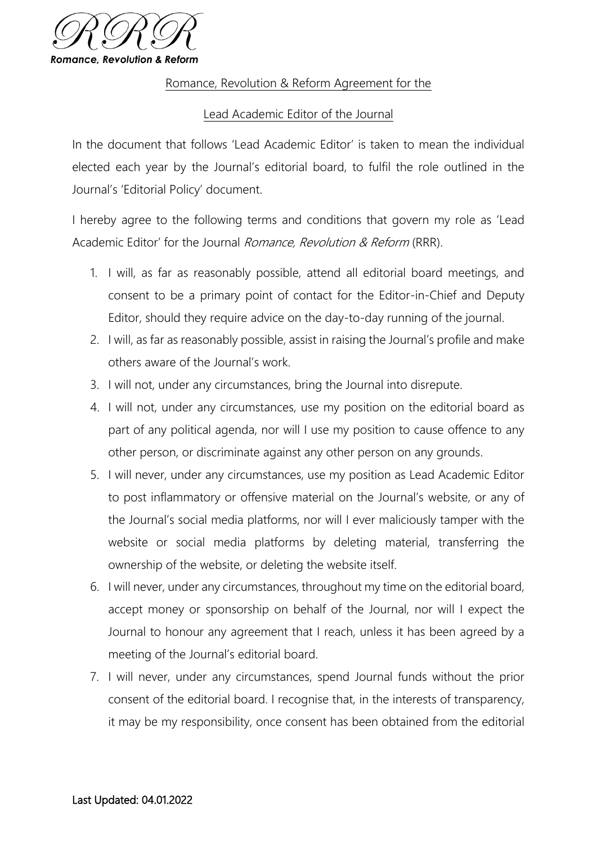

## Romance, Revolution & Reform Agreement for the

## Lead Academic Editor of the Journal

In the document that follows 'Lead Academic Editor' is taken to mean the individual elected each year by the Journal's editorial board, to fulfil the role outlined in the Journal's 'Editorial Policy' document.

I hereby agree to the following terms and conditions that govern my role as 'Lead Academic Editor' for the Journal Romance, Revolution & Reform (RRR).

- 1. I will, as far as reasonably possible, attend all editorial board meetings, and consent to be a primary point of contact for the Editor-in-Chief and Deputy Editor, should they require advice on the day-to-day running of the journal.
- 2. I will, as far as reasonably possible, assist in raising the Journal's profile and make others aware of the Journal's work.
- 3. I will not, under any circumstances, bring the Journal into disrepute.
- 4. I will not, under any circumstances, use my position on the editorial board as part of any political agenda, nor will I use my position to cause offence to any other person, or discriminate against any other person on any grounds.
- 5. I will never, under any circumstances, use my position as Lead Academic Editor to post inflammatory or offensive material on the Journal's website, or any of the Journal's social media platforms, nor will I ever maliciously tamper with the website or social media platforms by deleting material, transferring the ownership of the website, or deleting the website itself.
- 6. I will never, under any circumstances, throughout my time on the editorial board, accept money or sponsorship on behalf of the Journal, nor will I expect the Journal to honour any agreement that I reach, unless it has been agreed by a meeting of the Journal's editorial board.
- 7. I will never, under any circumstances, spend Journal funds without the prior consent of the editorial board. I recognise that, in the interests of transparency, it may be my responsibility, once consent has been obtained from the editorial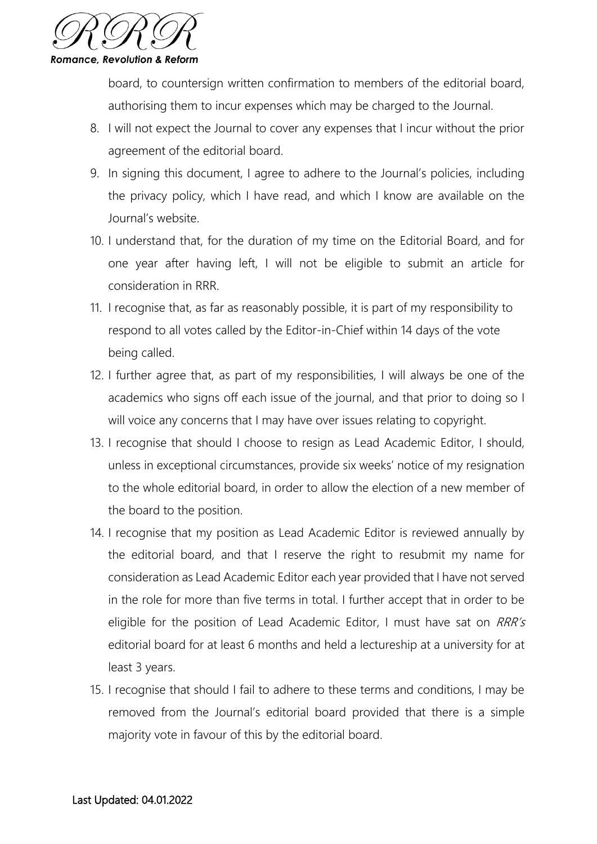

board, to countersign written confirmation to members of the editorial board, authorising them to incur expenses which may be charged to the Journal.

- 8. I will not expect the Journal to cover any expenses that I incur without the prior agreement of the editorial board.
- 9. In signing this document, I agree to adhere to the Journal's policies, including the privacy policy, which I have read, and which I know are available on the Journal's website.
- 10. I understand that, for the duration of my time on the Editorial Board, and for one year after having left, I will not be eligible to submit an article for consideration in RRR.
- 11. I recognise that, as far as reasonably possible, it is part of my responsibility to respond to all votes called by the Editor-in-Chief within 14 days of the vote being called.
- 12. I further agree that, as part of my responsibilities, I will always be one of the academics who signs off each issue of the journal, and that prior to doing so I will voice any concerns that I may have over issues relating to copyright.
- 13. I recognise that should I choose to resign as Lead Academic Editor, I should, unless in exceptional circumstances, provide six weeks' notice of my resignation to the whole editorial board, in order to allow the election of a new member of the board to the position.
- 14. I recognise that my position as Lead Academic Editor is reviewed annually by the editorial board, and that I reserve the right to resubmit my name for consideration as Lead Academic Editor each year provided that I have not served in the role for more than five terms in total. I further accept that in order to be eligible for the position of Lead Academic Editor, I must have sat on RRR's editorial board for at least 6 months and held a lectureship at a university for at least 3 years.
- 15. I recognise that should I fail to adhere to these terms and conditions, I may be removed from the Journal's editorial board provided that there is a simple majority vote in favour of this by the editorial board.